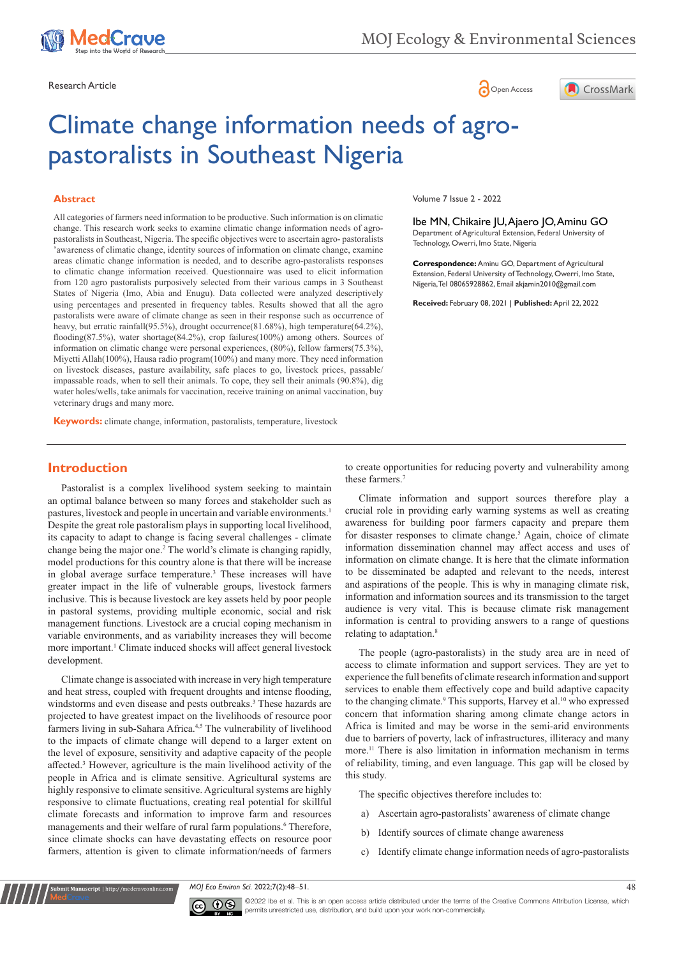





# Climate change information needs of agropastoralists in Southeast Nigeria

#### **Abstract**

All categories of farmers need information to be productive. Such information is on climatic change. This research work seeks to examine climatic change information needs of agropastoralists in Southeast, Nigeria. The specific objectives were to ascertain agro- pastoralists 'awareness of climatic change, identity sources of information on climate change, examine areas climatic change information is needed, and to describe agro-pastoralists responses to climatic change information received. Questionnaire was used to elicit information from 120 agro pastoralists purposively selected from their various camps in 3 Southeast States of Nigeria (Imo, Abia and Enugu). Data collected were analyzed descriptively using percentages and presented in frequency tables. Results showed that all the agro pastoralists were aware of climate change as seen in their response such as occurrence of heavy, but erratic rainfall(95.5%), drought occurrence(81.68%), high temperature(64.2%), flooding(87.5%), water shortage(84.2%), crop failures(100%) among others. Sources of information on climatic change were personal experiences, (80%), fellow farmers(75.3%), Miyetti Allah(100%), Hausa radio program(100%) and many more. They need information on livestock diseases, pasture availability, safe places to go, livestock prices, passable/ impassable roads, when to sell their animals. To cope, they sell their animals (90.8%), dig water holes/wells, take animals for vaccination, receive training on animal vaccination, buy veterinary drugs and many more.

**Keywords:** climate change, information, pastoralists, temperature, livestock

**Introduction**

Pastoralist is a complex livelihood system seeking to maintain an optimal balance between so many forces and stakeholder such as pastures, livestock and people in uncertain and variable environments.<sup>1</sup> Despite the great role pastoralism plays in supporting local livelihood, its capacity to adapt to change is facing several challenges - climate change being the major one.2 The world's climate is changing rapidly, model productions for this country alone is that there will be increase in global average surface temperature.<sup>3</sup> These increases will have greater impact in the life of vulnerable groups, livestock farmers inclusive. This is because livestock are key assets held by poor people in pastoral systems, providing multiple economic, social and risk management functions. Livestock are a crucial coping mechanism in variable environments, and as variability increases they will become more important.<sup>1</sup> Climate induced shocks will affect general livestock development.

Climate change is associated with increase in very high temperature and heat stress, coupled with frequent droughts and intense flooding, windstorms and even disease and pests outbreaks.<sup>3</sup> These hazards are projected to have greatest impact on the livelihoods of resource poor farmers living in sub-Sahara Africa.<sup>4,5</sup> The vulnerability of livelihood to the impacts of climate change will depend to a larger extent on the level of exposure, sensitivity and adaptive capacity of the people affected.<sup>3</sup> However, agriculture is the main livelihood activity of the people in Africa and is climate sensitive. Agricultural systems are highly responsive to climate sensitive. Agricultural systems are highly responsive to climate fluctuations, creating real potential for skillful climate forecasts and information to improve farm and resources managements and their welfare of rural farm populations.<sup>6</sup> Therefore, since climate shocks can have devastating effects on resource poor farmers, attention is given to climate information/needs of farmers

Volume 7 Issue 2 - 2022

Ibe MN, Chikaire JU, Ajaero JO, Aminu GO Department of Agricultural Extension, Federal University of Technology, Owerri, Imo State, Nigeria

**Correspondence:** Aminu GO, Department of Agricultural Extension, Federal University of Technology, Owerri, Imo State, Nigeria, Tel 08065928862, Email akjamin2010@gmail.com

**Received:** February 08, 2021 | **Published:** April 22, 2022

to create opportunities for reducing poverty and vulnerability among these farmers.7

Climate information and support sources therefore play a crucial role in providing early warning systems as well as creating awareness for building poor farmers capacity and prepare them for disaster responses to climate change.<sup>5</sup> Again, choice of climate information dissemination channel may affect access and uses of information on climate change. It is here that the climate information to be disseminated be adapted and relevant to the needs, interest and aspirations of the people. This is why in managing climate risk, information and information sources and its transmission to the target audience is very vital. This is because climate risk management information is central to providing answers to a range of questions relating to adaptation.<sup>8</sup>

The people (agro-pastoralists) in the study area are in need of access to climate information and support services. They are yet to experience the full benefits of climate research information and support services to enable them effectively cope and build adaptive capacity to the changing climate.<sup>9</sup> This supports, Harvey et al.<sup>10</sup> who expressed concern that information sharing among climate change actors in Africa is limited and may be worse in the semi-arid environments due to barriers of poverty, lack of infrastructures, illiteracy and many more.11 There is also limitation in information mechanism in terms of reliability, timing, and even language. This gap will be closed by this study.

The specific objectives therefore includes to:

- a) Ascertain agro-pastoralists' awareness of climate change
- b) Identify sources of climate change awareness
- c) Identify climate change information needs of agro-pastoralists

*MOJ Eco Environ Sci.* 2022;7(2):48‒51. 48



**Kubmit Manuscript** | http://medcraveonline.c

©2022 Ibe et al. This is an open access article distributed under the terms of the [Creative Commons Attribution License](https://creativecommons.org/licenses/by-nc/4.0/), which permits unrestricted use, distribution, and build upon your work non-commercially.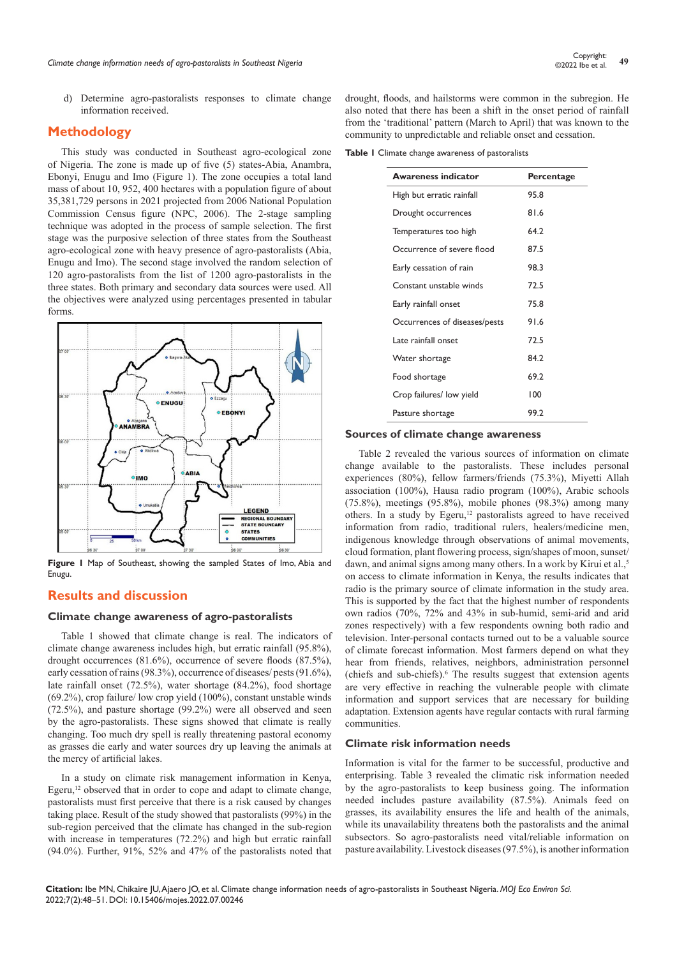d) Determine agro-pastoralists responses to climate change information received.

# **Methodology**

This study was conducted in Southeast agro-ecological zone of Nigeria. The zone is made up of five (5) states-Abia, Anambra, Ebonyi, Enugu and Imo (Figure 1). The zone occupies a total land mass of about 10, 952, 400 hectares with a population figure of about 35,381,729 persons in 2021 projected from 2006 National Population Commission Census figure (NPC, 2006). The 2-stage sampling technique was adopted in the process of sample selection. The first stage was the purposive selection of three states from the Southeast agro-ecological zone with heavy presence of agro-pastoralists (Abia, Enugu and Imo). The second stage involved the random selection of 120 agro-pastoralists from the list of 1200 agro-pastoralists in the three states. Both primary and secondary data sources were used. All the objectives were analyzed using percentages presented in tabular forms.



**Figure 1** Map of Southeast, showing the sampled States of Imo, Abia and Enugu.

# **Results and discussion**

#### **Climate change awareness of agro-pastoralists**

Table 1 showed that climate change is real. The indicators of climate change awareness includes high, but erratic rainfall (95.8%), drought occurrences (81.6%), occurrence of severe floods (87.5%), early cessation of rains (98.3%), occurrence of diseases/ pests (91.6%), late rainfall onset (72.5%), water shortage (84.2%), food shortage (69.2%), crop failure/ low crop yield (100%), constant unstable winds (72.5%), and pasture shortage (99.2%) were all observed and seen by the agro-pastoralists. These signs showed that climate is really changing. Too much dry spell is really threatening pastoral economy as grasses die early and water sources dry up leaving the animals at the mercy of artificial lakes.

In a study on climate risk management information in Kenya, Egeru,<sup>12</sup> observed that in order to cope and adapt to climate change, pastoralists must first perceive that there is a risk caused by changes taking place. Result of the study showed that pastoralists (99%) in the sub-region perceived that the climate has changed in the sub-region with increase in temperatures (72.2%) and high but erratic rainfall (94.0%). Further, 91%, 52% and 47% of the pastoralists noted that drought, floods, and hailstorms were common in the subregion. He also noted that there has been a shift in the onset period of rainfall from the 'traditional' pattern (March to April) that was known to the community to unpredictable and reliable onset and cessation.

**Table 1** Climate change awareness of pastoralists

| <b>Awareness indicator</b>    | Percentage |
|-------------------------------|------------|
| High but erratic rainfall     | 95.8       |
| Drought occurrences           | 81.6       |
| Temperatures too high         | 64.2       |
| Occurrence of severe flood    | 87.5       |
| Early cessation of rain       | 98.3       |
| Constant unstable winds       | 72.5       |
| Early rainfall onset          | 75.8       |
| Occurrences of diseases/pests | 91.6       |
| Late rainfall onset           | 72.5       |
| Water shortage                | 84.2       |
| Food shortage                 | 69.2       |
| Crop failures/ low yield      | 100        |
| Pasture shortage              | 99.2       |
|                               |            |

#### **Sources of climate change awareness**

Table 2 revealed the various sources of information on climate change available to the pastoralists. These includes personal experiences (80%), fellow farmers/friends (75.3%), Miyetti Allah association (100%), Hausa radio program (100%), Arabic schools (75.8%), meetings (95.8%), mobile phones (98.3%) among many others. In a study by Egeru,<sup>12</sup> pastoralists agreed to have received information from radio, traditional rulers, healers/medicine men, indigenous knowledge through observations of animal movements, cloud formation, plant flowering process, sign/shapes of moon, sunset/ dawn, and animal signs among many others. In a work by Kirui et al.,<sup>5</sup> on access to climate information in Kenya, the results indicates that radio is the primary source of climate information in the study area. This is supported by the fact that the highest number of respondents own radios (70%, 72% and 43% in sub-humid, semi-arid and arid zones respectively) with a few respondents owning both radio and television. Inter-personal contacts turned out to be a valuable source of climate forecast information. Most farmers depend on what they hear from friends, relatives, neighbors, administration personnel (chiefs and sub-chiefs).<sup>6</sup> The results suggest that extension agents are very effective in reaching the vulnerable people with climate information and support services that are necessary for building adaptation. Extension agents have regular contacts with rural farming communities.

### **Climate risk information needs**

Information is vital for the farmer to be successful, productive and enterprising. Table 3 revealed the climatic risk information needed by the agro-pastoralists to keep business going. The information needed includes pasture availability (87.5%). Animals feed on grasses, its availability ensures the life and health of the animals, while its unavailability threatens both the pastoralists and the animal subsectors. So agro-pastoralists need vital/reliable information on pasture availability. Livestock diseases (97.5%), is another information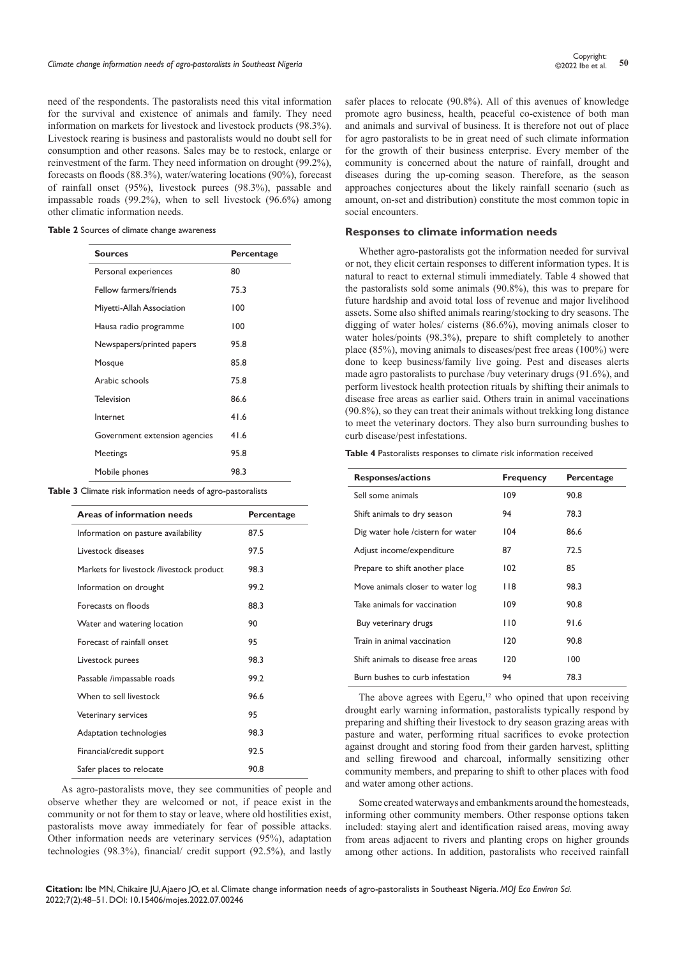need of the respondents. The pastoralists need this vital information for the survival and existence of animals and family. They need information on markets for livestock and livestock products (98.3%). Livestock rearing is business and pastoralists would no doubt sell for consumption and other reasons. Sales may be to restock, enlarge or reinvestment of the farm. They need information on drought (99.2%), forecasts on floods (88.3%), water/watering locations (90%), forecast of rainfall onset (95%), livestock purees (98.3%), passable and impassable roads (99.2%), when to sell livestock (96.6%) among other climatic information needs.

| Table 2 Sources of climate change awareness |  |  |  |
|---------------------------------------------|--|--|--|
|---------------------------------------------|--|--|--|

| <b>Sources</b>                | Percentage |
|-------------------------------|------------|
| Personal experiences          | 80         |
| Fellow farmers/friends        | 75.3       |
| Miyetti-Allah Association     | 100        |
| Hausa radio programme         | 100        |
| Newspapers/printed papers     | 95.8       |
| Mosque                        | 85.8       |
| Arabic schools                | 75.8       |
| Television                    | 86.6       |
| Internet                      | 41.6       |
| Government extension agencies | 41.6       |
| <b>Meetings</b>               | 95.8       |
| Mobile phones                 | 98.3       |

**Table 3** Climate risk information needs of agro-pastoralists

| <b>Areas of information needs</b>        | Percentage |
|------------------------------------------|------------|
| Information on pasture availability      | 87.5       |
| Livestock diseases                       | 97.5       |
| Markets for livestock /livestock product | 98.3       |
| Information on drought                   | 99.2       |
| Forecasts on floods                      | 88.3       |
| Water and watering location              | 90         |
| Forecast of rainfall onset               | 95         |
| Livestock purees                         | 98.3       |
| Passable /impassable roads               | 99.2       |
| When to sell livestock                   | 96.6       |
| Veterinary services                      | 95         |
| Adaptation technologies                  | 98.3       |
| Financial/credit support                 | 92.5       |
| Safer places to relocate                 | 90.8       |

As agro-pastoralists move, they see communities of people and observe whether they are welcomed or not, if peace exist in the community or not for them to stay or leave, where old hostilities exist, pastoralists move away immediately for fear of possible attacks. Other information needs are veterinary services (95%), adaptation technologies (98.3%), financial/ credit support (92.5%), and lastly safer places to relocate (90.8%). All of this avenues of knowledge promote agro business, health, peaceful co-existence of both man and animals and survival of business. It is therefore not out of place for agro pastoralists to be in great need of such climate information for the growth of their business enterprise. Every member of the community is concerned about the nature of rainfall, drought and diseases during the up-coming season. Therefore, as the season approaches conjectures about the likely rainfall scenario (such as amount, on-set and distribution) constitute the most common topic in social encounters.

#### **Responses to climate information needs**

Whether agro-pastoralists got the information needed for survival or not, they elicit certain responses to different information types. It is natural to react to external stimuli immediately. Table 4 showed that the pastoralists sold some animals (90.8%), this was to prepare for future hardship and avoid total loss of revenue and major livelihood assets. Some also shifted animals rearing/stocking to dry seasons. The digging of water holes/ cisterns (86.6%), moving animals closer to water holes/points (98.3%), prepare to shift completely to another place (85%), moving animals to diseases/pest free areas (100%) were done to keep business/family live going. Pest and diseases alerts made agro pastoralists to purchase /buy veterinary drugs (91.6%), and perform livestock health protection rituals by shifting their animals to disease free areas as earlier said. Others train in animal vaccinations (90.8%), so they can treat their animals without trekking long distance to meet the veterinary doctors. They also burn surrounding bushes to curb disease/pest infestations.

**Table 4** Pastoralists responses to climate risk information received

| <b>Responses/actions</b>            | <b>Frequency</b> | Percentage |
|-------------------------------------|------------------|------------|
| Sell some animals                   | 109              | 90.8       |
| Shift animals to dry season         | 94               | 78.3       |
| Dig water hole / cistern for water  | 104              | 86.6       |
| Adjust income/expenditure           | 87               | 72.5       |
| Prepare to shift another place      | 102              | 85         |
| Move animals closer to water log    | 118              | 98.3       |
| Take animals for vaccination        | 109              | 90.8       |
| Buy veterinary drugs                | 110              | 91.6       |
| Train in animal vaccination         | 120              | 90.8       |
| Shift animals to disease free areas | 120              | 100        |
| Burn bushes to curb infestation     | 94               | 78.3       |

The above agrees with Egeru, $12$  who opined that upon receiving drought early warning information, pastoralists typically respond by preparing and shifting their livestock to dry season grazing areas with pasture and water, performing ritual sacrifices to evoke protection against drought and storing food from their garden harvest, splitting and selling firewood and charcoal, informally sensitizing other community members, and preparing to shift to other places with food and water among other actions.

Some created waterways and embankments around the homesteads, informing other community members. Other response options taken included: staying alert and identification raised areas, moving away from areas adjacent to rivers and planting crops on higher grounds among other actions. In addition, pastoralists who received rainfall